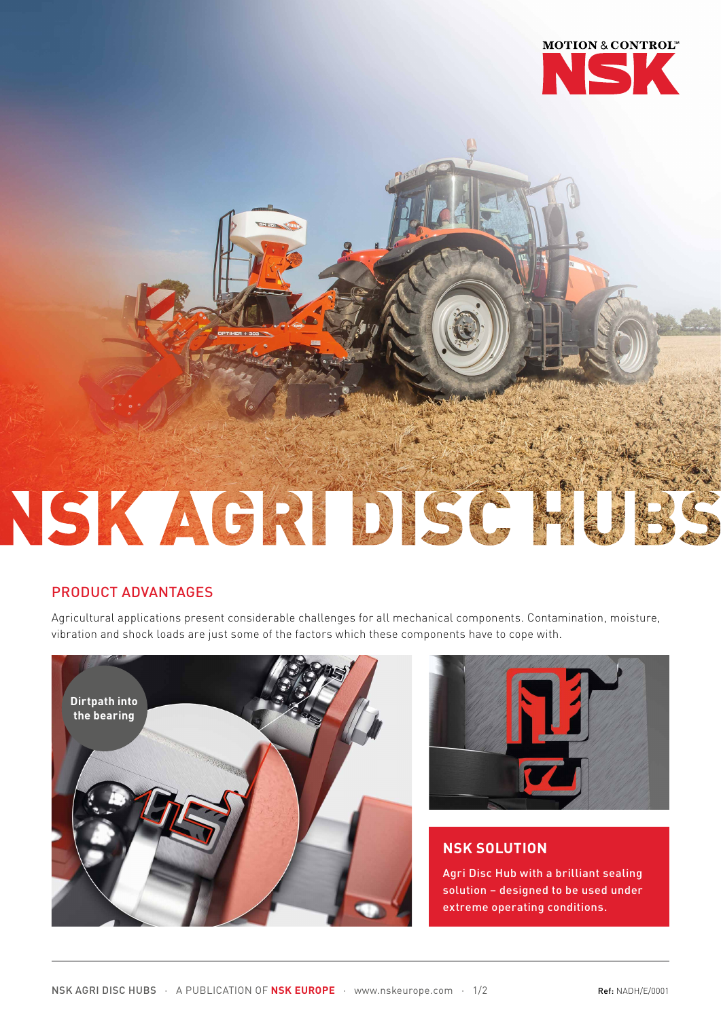

# NSK AGRIDISC

## PRODUCT ADVANTAGES

Agricultural applications present considerable challenges for all mechanical components. Contamination, moisture, vibration and shock loads are just some of the factors which these components have to cope with.





# **NSK SOLUTION**

Agri Disc Hub with a brilliant sealing solution – designed to be used under extreme operating conditions.